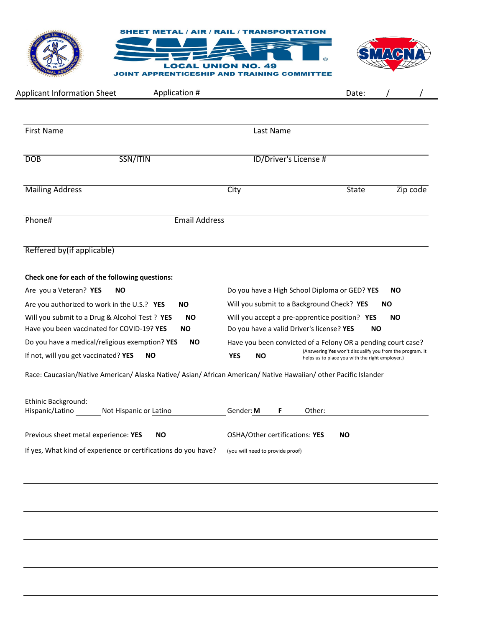

| <b>Applicant Information Sheet</b>                                                                                                                    | Application #          |                         | Date:                                                                                                                                                                       |                        |
|-------------------------------------------------------------------------------------------------------------------------------------------------------|------------------------|-------------------------|-----------------------------------------------------------------------------------------------------------------------------------------------------------------------------|------------------------|
|                                                                                                                                                       |                        |                         |                                                                                                                                                                             |                        |
| <b>First Name</b>                                                                                                                                     |                        | Last Name               |                                                                                                                                                                             |                        |
| SSN/ITIN<br><b>DOB</b>                                                                                                                                |                        |                         | ID/Driver's License #                                                                                                                                                       |                        |
| <b>Mailing Address</b>                                                                                                                                |                        | City                    | <b>State</b>                                                                                                                                                                | Zip code               |
| Phone#                                                                                                                                                | <b>Email Address</b>   |                         |                                                                                                                                                                             |                        |
|                                                                                                                                                       |                        |                         |                                                                                                                                                                             |                        |
|                                                                                                                                                       |                        |                         |                                                                                                                                                                             |                        |
| <b>NO</b>                                                                                                                                             |                        |                         | Do you have a High School Diploma or GED? YES                                                                                                                               | <b>NO</b>              |
| Reffered by(if applicable)<br>Check one for each of the following questions:<br>Are you a Veteran? YES<br>Are you authorized to work in the U.S.? YES | <b>NO</b>              |                         | Will you submit to a Background Check? YES                                                                                                                                  | <b>NO</b>              |
| Will you submit to a Drug & Alcohol Test ? YES<br>Have you been vaccinated for COVID-19? YES                                                          | <b>NO</b><br><b>NO</b> |                         | Will you accept a pre-apprentice position? YES<br>Do you have a valid Driver's license? YES                                                                                 | <b>NO</b><br><b>NO</b> |
| Do you have a medical/religious exemption? YES<br>If not, will you get vaccinated? YES                                                                | <b>NO</b><br><b>NO</b> | <b>YES</b><br><b>NO</b> | Have you been convicted of a Felony OR a pending court case?<br>(Answering Yes won't disqualify you from the program. It<br>helps us to place you with the right employer.) |                        |

| <b>LUMING BUCKSTOCHIU.</b><br>Hispanic/Latino<br>Not Hispanic or Latino | Other:<br>Gender: <b>M</b>                         |
|-------------------------------------------------------------------------|----------------------------------------------------|
| Previous sheet metal experience: YES<br>NΟ                              | <b>OSHA/Other certifications: YES</b><br><b>NO</b> |
| If yes, What kind of experience or certifications do you have?          | (you will need to provide proof)                   |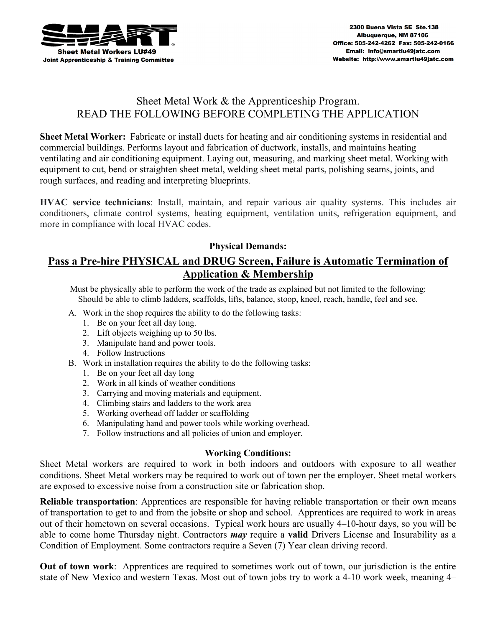

# Sheet Metal Work & the Apprenticeship Program. READ THE FOLLOWING BEFORE COMPLETING THE APPLICATION

**Sheet Metal Worker:** Fabricate or install ducts for heating and air conditioning systems in residential and commercial buildings. Performs layout and fabrication of ductwork, installs, and maintains heating ventilating and air conditioning equipment. Laying out, measuring, and marking sheet metal. Working with equipment to cut, bend or straighten sheet metal, welding sheet metal parts, polishing seams, joints, and rough surfaces, and reading and interpreting blueprints.

**HVAC service technicians**: Install, maintain, and repair various air quality systems. This includes air conditioners, climate control systems, heating equipment, ventilation units, refrigeration equipment, and more in compliance with local HVAC codes.

#### **Physical Demands:**

## **Pass a Pre-hire PHYSICAL and DRUG Screen, Failure is Automatic Termination of Application & Membership**

Must be physically able to perform the work of the trade as explained but not limited to the following: Should be able to climb ladders, scaffolds, lifts, balance, stoop, kneel, reach, handle, feel and see.

- A. Work in the shop requires the ability to do the following tasks:
	- 1. Be on your feet all day long.
	- 2. Lift objects weighing up to 50 lbs.
	- 3. Manipulate hand and power tools.
	- 4. Follow Instructions
- B. Work in installation requires the ability to do the following tasks:
	- 1. Be on your feet all day long
	- 2. Work in all kinds of weather conditions
	- 3. Carrying and moving materials and equipment.
	- 4. Climbing stairs and ladders to the work area
	- 5. Working overhead off ladder or scaffolding
	- 6. Manipulating hand and power tools while working overhead.
	- 7. Follow instructions and all policies of union and employer.

#### **Working Conditions:**

Sheet Metal workers are required to work in both indoors and outdoors with exposure to all weather conditions. Sheet Metal workers may be required to work out of town per the employer. Sheet metal workers are exposed to excessive noise from a construction site or fabrication shop.

**Reliable transportation**: Apprentices are responsible for having reliable transportation or their own means of transportation to get to and from the jobsite or shop and school. Apprentices are required to work in areas out of their hometown on several occasions. Typical work hours are usually 4–10-hour days, so you will be able to come home Thursday night. Contractors *may* require a **valid** Drivers License and Insurability as a Condition of Employment. Some contractors require a Seven (7) Year clean driving record.

**Out of town work**: Apprentices are required to sometimes work out of town, our jurisdiction is the entire state of New Mexico and western Texas. Most out of town jobs try to work a 4-10 work week, meaning 4–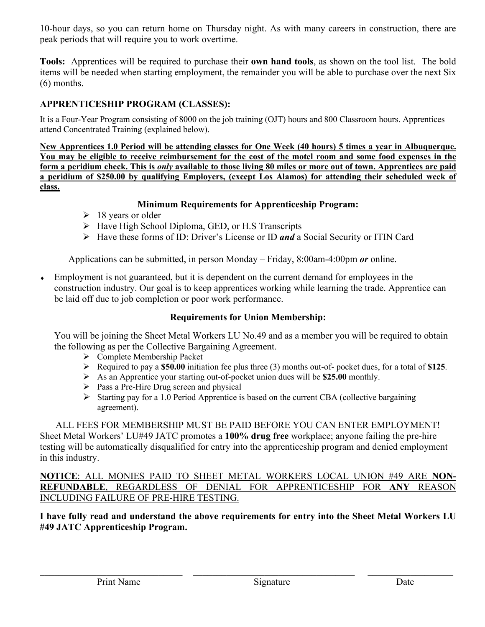10-hour days, so you can return home on Thursday night. As with many careers in construction, there are peak periods that will require you to work overtime.

**Tools:** Apprentices will be required to purchase their **own hand tools**, as shown on the tool list. The bold items will be needed when starting employment, the remainder you will be able to purchase over the next Six (6) months.

### **APPRENTICESHIP PROGRAM (CLASSES):**

It is a Four-Year Program consisting of 8000 on the job training (OJT) hours and 800 Classroom hours. Apprentices attend Concentrated Training (explained below).

**New Apprentices 1.0 Period will be attending classes for One Week (40 hours) 5 times a year in Albuquerque. You may be eligible to receive reimbursement for the cost of the motel room and some food expenses in the form a peridium check. This is** *only* **available to those living 80 miles or more out of town. Apprentices are paid a peridium of \$250.00 by qualifying Employers, (except Los Alamos) for attending their scheduled week of class.**

#### **Minimum Requirements for Apprenticeship Program:**

- $\geq 18$  years or older
- ▶ Have High School Diploma, GED, or H.S Transcripts
- Have these forms of ID: Driver's License or ID *and* a Social Security or ITIN Card

Applications can be submitted, in person Monday – Friday, 8:00am-4:00pm *or* online.

Employment is not guaranteed, but it is dependent on the current demand for employees in the construction industry. Our goal is to keep apprentices working while learning the trade. Apprentice can be laid off due to job completion or poor work performance.

#### **Requirements for Union Membership:**

You will be joining the Sheet Metal Workers LU No.49 and as a member you will be required to obtain the following as per the Collective Bargaining Agreement.

- Complete Membership Packet
- Required to pay a **\$50.00** initiation fee plus three (3) months out-of- pocket dues, for a total of **\$125**.
- As an Apprentice your starting out-of-pocket union dues will be **\$25.00** monthly.
- $\triangleright$  Pass a Pre-Hire Drug screen and physical
- $\triangleright$  Starting pay for a 1.0 Period Apprentice is based on the current CBA (collective bargaining agreement).

#### ALL FEES FOR MEMBERSHIP MUST BE PAID BEFORE YOU CAN ENTER EMPLOYMENT!

Sheet Metal Workers' LU#49 JATC promotes a **100% drug free** workplace; anyone failing the pre-hire testing will be automatically disqualified for entry into the apprenticeship program and denied employment in this industry.

**NOTICE**: ALL MONIES PAID TO SHEET METAL WORKERS LOCAL UNION #49 ARE **NON-REFUNDABLE**, REGARDLESS OF DENIAL FOR APPRENTICESHIP FOR **ANY** REASON INCLUDING FAILURE OF PRE-HIRE TESTING.

#### **I have fully read and understand the above requirements for entry into the Sheet Metal Workers LU #49 JATC Apprenticeship Program.**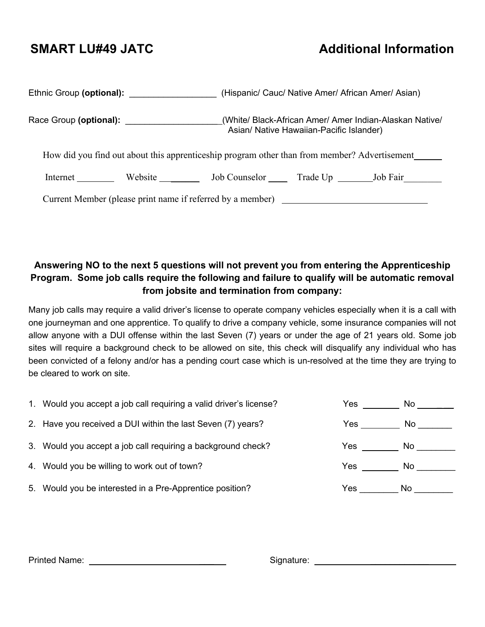# **SMART LU#49 JATC** Additional Information

| Ethnic Group (optional):                                                                     |         |                                                 | (Hispanic/ Cauc/ Native Amer/ African Amer/ Asian)                                                  |  |
|----------------------------------------------------------------------------------------------|---------|-------------------------------------------------|-----------------------------------------------------------------------------------------------------|--|
| Race Group (optional):                                                                       |         |                                                 | (White/ Black-African Amer/ Amer Indian-Alaskan Native/<br>Asian/ Native Hawaiian-Pacific Islander) |  |
| How did you find out about this apprenticeship program other than from member? Advertisement |         |                                                 |                                                                                                     |  |
| Internet                                                                                     | Website | Job Counselor ______ Trade Up ________ Job Fair |                                                                                                     |  |
| Current Member (please print name if referred by a member) _____________________             |         |                                                 |                                                                                                     |  |

# **Answering NO to the next 5 questions will not prevent you from entering the Apprenticeship Program. Some job calls require the following and failure to qualify will be automatic removal from jobsite and termination from company:**

Many job calls may require a valid driver's license to operate company vehicles especially when it is a call with one journeyman and one apprentice. To qualify to drive a company vehicle, some insurance companies will not allow anyone with a DUI offense within the last Seven (7) years or under the age of 21 years old. Some job sites will require a background check to be allowed on site, this check will disqualify any individual who has been convicted of a felony and/or has a pending court case which is un-resolved at the time they are trying to be cleared to work on site.

| 1. Would you accept a job call requiring a valid driver's license? | Yes  | No. |
|--------------------------------------------------------------------|------|-----|
| 2. Have you received a DUI within the last Seven (7) years?        | Yes. | No. |
| 3. Would you accept a job call requiring a background check?       | Yes  | No. |
| 4. Would you be willing to work out of town?                       | Yes  | No. |
| 5. Would you be interested in a Pre-Apprentice position?           | Yes. | No. |

| <b>Printed Name:</b> |  |
|----------------------|--|
|                      |  |

Printed Name: \_\_\_ Signature: \_\_\_\_\_\_\_\_\_\_\_\_